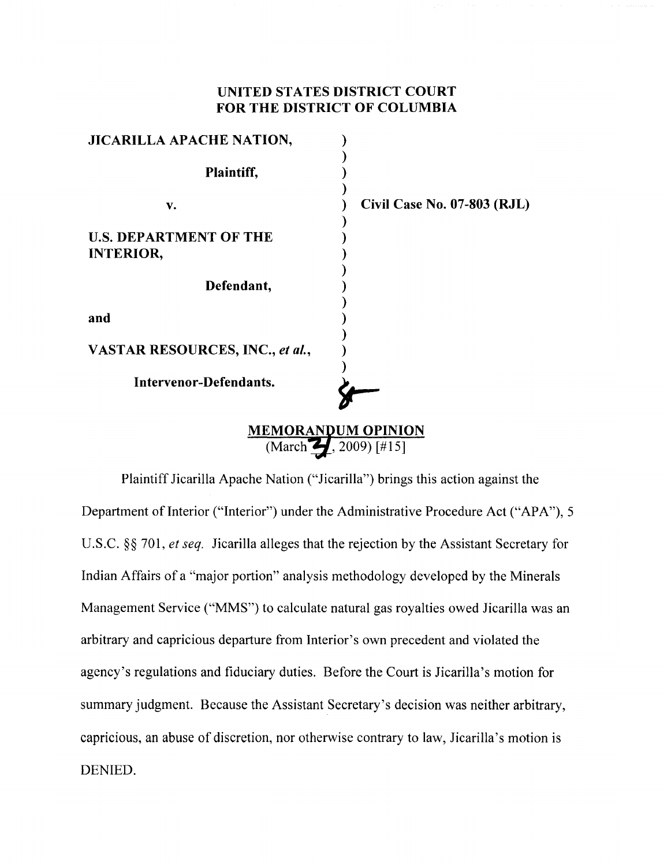## UNITED STATES DISTRICT COURT FOR THE DISTRICT OF COLUMBIA

| JICARILLA APACHE NATION,          |                             |
|-----------------------------------|-----------------------------|
|                                   |                             |
| Plaintiff,                        |                             |
|                                   |                             |
| v.                                | Civil Case No. 07-803 (RJL) |
|                                   |                             |
| <b>U.S. DEPARTMENT OF THE</b>     |                             |
| <b>INTERIOR,</b>                  |                             |
|                                   |                             |
| Defendant,                        |                             |
|                                   |                             |
| and                               |                             |
|                                   |                             |
| VASTAR RESOURCES, INC., et al.,   |                             |
|                                   |                             |
| Intervenor-Defendants.            |                             |
|                                   |                             |
|                                   |                             |
| <b>MEMORANDUM OPINION</b>         |                             |
| (March $\leftarrow$ , 2009) [#15] |                             |

Plaintiff Jicarilla Apache Nation ("Jicarilla") brings this action against the Department of Interior ("Interior") under the Administrative Procedure Act ("APA"), 5 U.S.C. §§ 701, *et seq.* Jicarilla alleges that the rejection by the Assistant Secretary for Indian Affairs of a "major portion" analysis methodology developed by the Minerals Management Service ("MMS") to calculate natural gas royalties owed Jicarilla was an arbitrary and capricious departure from Interior's own precedent and violated the agency's regulations and fiduciary duties. Before the Court is Jicarilla's motion for summary judgment. Because the Assistant Secretary's decision was neither arbitrary, capricious, an abuse of discretion, nor otherwise contrary to law, Jicarilla's motion is DENIED.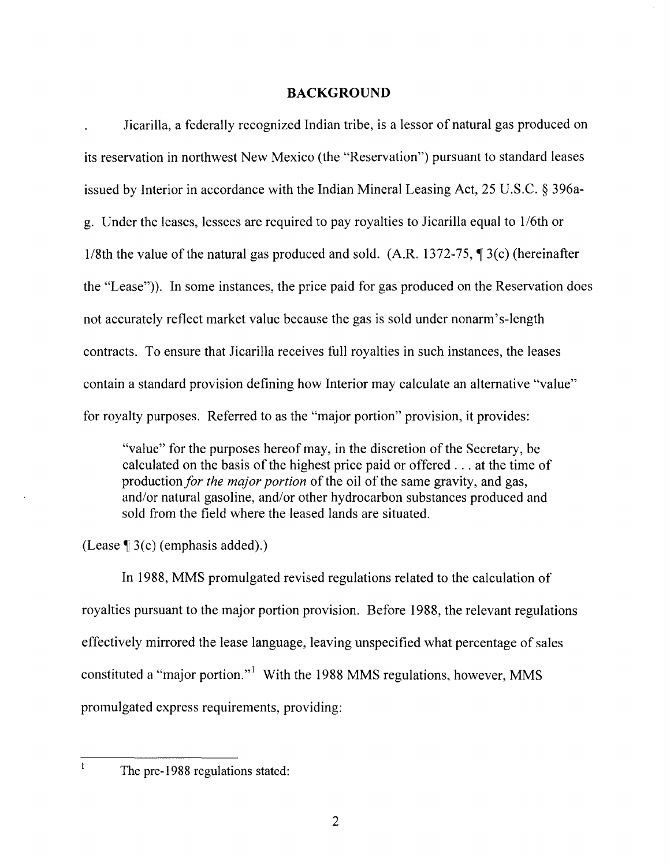#### **BACKGROUND**

Jicarilla, a federally recognized Indian tribe, is a lessor of natural gas produced on its reservation in northwest New Mexico (the "Reservation") pursuant to standard leases issued by Interior in accordance with the Indian Mineral Leasing Act, 25 U.S.C. § 396ag. Under the leases, lessees are required to pay royalties to Jicarilla equal to 1I6th or 1/8th the value of the natural gas produced and sold. (A.R. 1372-75,  $\parallel$  3(c) (hereinafter the "Lease")). In some instances, the price paid for gas produced on the Reservation does not accurately reflect market value because the gas is sold under nonarm's-length contracts. To ensure that Jicarilla receives full royalties in such instances, the leases contain a standard provision defining how Interior may calculate an alternative "value" for royalty purposes. Referred to as the "major portion" provision, it provides:

"value" for the purposes hereof may, in the discretion of the Secretary, be calculated on the basis of the highest price paid or offered ... at the time of production *for the major portion* of the oil of the same gravity, and gas, and/or natural gasoline, and/or other hydrocarbon substances produced and sold from the field where the leased lands are situated.

(Lease  $\P$  3(c) (emphasis added).)

In 1988, MMS promulgated revised regulations related to the calculation of royalties pursuant to the major portion provision. Before 1988, the relevant regulations effectively mirrored the lease language, leaving unspecified what percentage of sales constituted a "major portion." 1 With the 1988 MMS regulations, however, MMS promulgated express requirements, providing:

 $\mathbf{I}$ 

The pre-1988 regulations stated: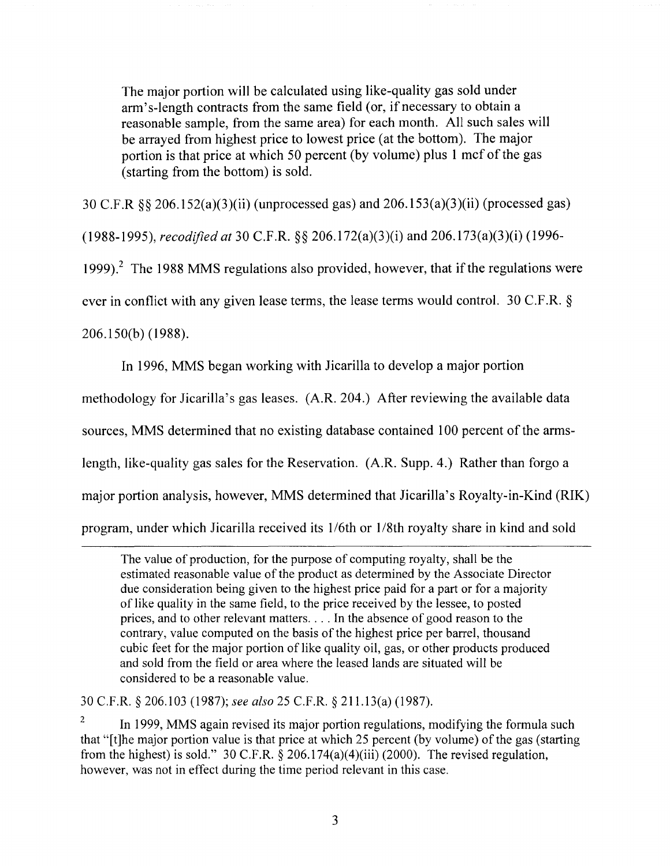The major portion will be calculated using like-quality gas sold under arm's-length contracts from the same field (or, if necessary to obtain a reasonable sample, from the same area) for each month. All such sales will be arrayed from highest price to lowest price (at the bottom). The major portion is that price at which *SO* percent (by volume) plus 1 mcf of the gas (starting from the bottom) is sold.

30 C.F.R §§ 206. 1 S2(a)(3)(ii) (unprocessed gas) and 206.1S3(a)(3)(ii) (processed gas)

*(1988-199S), recodified at* 30 C.F.R. §§ 206. 172(a)(3)(i) and 206. 173(a)(3)(i) (1996-

1999).<sup>2</sup> The 1988 MMS regulations also provided, however, that if the regulations were

ever in conflict with any given lease terms, the lease terms would control. 30 C.F.R. §

206.lS0(b) (1988).

In 1996, MMS began working with Jicarilla to develop a major portion

methodology for JicariIla's gas leases. (A.R.204.) After reviewing the available data

sources, MMS determined that no existing database contained 100 percent of the arms-

length, like-quality gas sales for the Reservation. (A.R. Supp. 4.) Rather than forgo a

major portion analysis, however, MMS determined that JicariIIa's Royalty-in-Kind (RIK)

program, under which Jicarilla received its 1/6th or 1/8th royalty share in kind and sold

The value of production, for the purpose of computing royalty, shall be the estimated reasonable value of the product as determined by the Associate Director due consideration being given to the highest price paid for a part or for a majority of like quality in the same field, to the price received by the lessee, to posted prices, and to other relevant matters .... In the absence of good reason to the contrary, value computed on the basis of the highest price per barrel, thousand cubic feet for the major portion of like quality oil, gas, or other products produced and sold from the field or area where the leased lands are situated will be considered to be a reasonable value.

30 C.F.R. § 206.103 (1987); *see also* 25 C.F.R. § 211.13(a) (1987).

 $2 \text{ In } 1999$ , MMS again revised its major portion regulations, modifying the formula such that "[t]he major portion value is that price at which 25 percent (by volume) of the gas (starting from the highest) is sold." 30 C.F.R.  $\S$  206.174(a)(4)(iii) (2000). The revised regulation, however, was not in effect during the time period relevant in this case.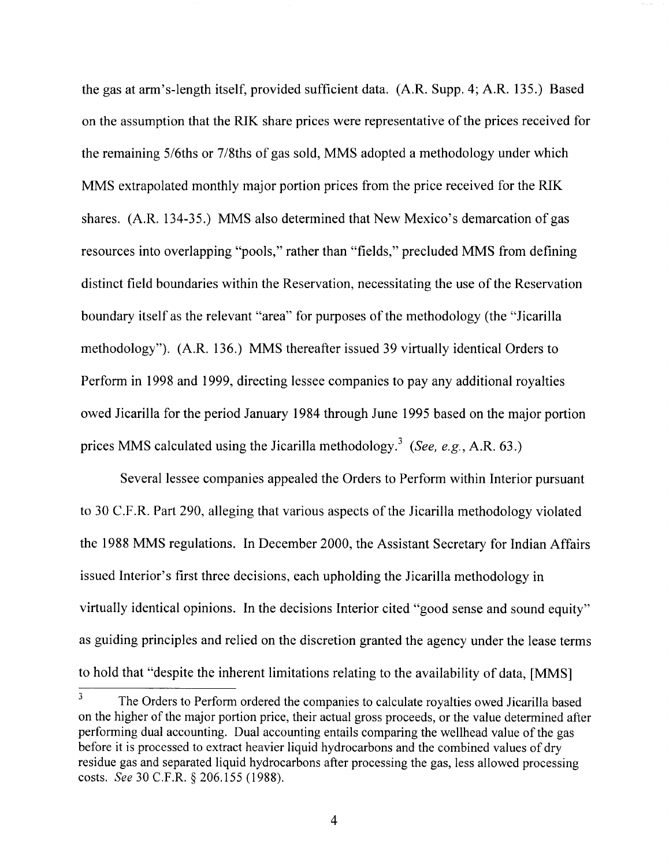the gas at arm's-length itself, provided sufficient data. (A.R. Supp. 4; A.R. 135.) Based on the assumption that the RIK share prices were representative of the prices received for the remaining 5/6ths or 7/8ths of gas sold, MMS adopted a methodology under which MMS extrapolated monthly major portion prices from the price received for the RIK shares. (A.R. 134-35.) MMS also determined that New Mexico's demarcation of gas resources into overlapping "pools," rather than "fields," precluded MMS from defining distinct field boundaries within the Reservation, necessitating the use of the Reservation boundary itself as the relevant "area" for purposes of the methodology (the "Jicarilla methodology"). (A.R. 136.) MMS thereafter issued 39 virtually identical Orders to Perform in 1998 and 1999, directing lessee companies to pay any additional royalties owed Jicarilla for the period January 1984 through June 1995 based on the major portion prices MMS calculated using the Jicarilla methodology.3 *(See, e.g.,* A.R. 63.)

Several lessee companies appealed the Orders to Perform within Interior pursuant to 30 C.F.R. Part 290, alleging that various aspects of the Jicarilla methodology violated the 1988 MMS regulations. In December 2000, the Assistant Secretary for Indian Affairs issued Interior's first three decisions, each upholding the Jicarilla methodology in virtually identical opinions. In the decisions Interior cited "good sense and sound equity" as guiding principles and relied on the discretion granted the agency under the lease terms to hold that "despite the inherent limitations relating to the availability of data, [MMS]

<sup>&</sup>lt;sup>3</sup> The Orders to Perform ordered the companies to calculate royalties owed Jicarilla based on the higher of the major portion price, their actual gross proceeds, or the value determined after performing dual accounting. Dual accounting entails comparing the wellhead value of the gas before it is processed to extract heavier liquid hydrocarbons and the combined values of dry residue gas and separated liquid hydrocarbons after processing the gas, less allowed processing costs. *See* 30 C.F.R. § 206.155 (1988).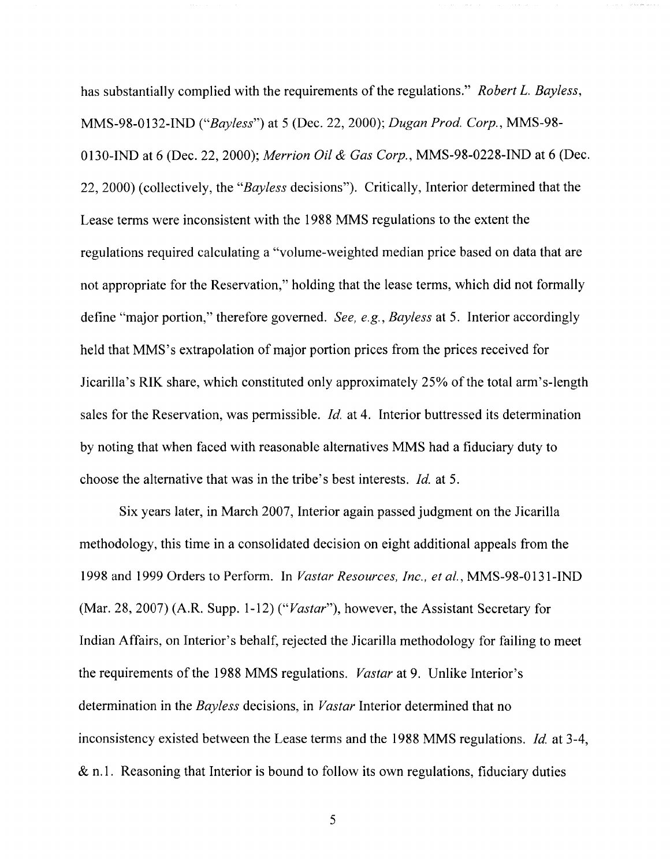has substantially complied with the requirements of the regulations." *Robert L. Bayless,*  MMS-98-0132-IND *("Bayless")* at 5 (Dec. 22, 2000); *Dugan Prod. Corp.,* MMS-98- 0130-IND at 6 (Dec. 22, 2000); *Merrion Oil* & *Gas Corp.,* MMS-98-0228-IND at 6 (Dec. 22, 2000) (collectively, the *"Bayless* decisions"). Critically, Interior determined that the Lease terms were inconsistent with the 1988 MMS regulations to the extent the regulations required calculating a "volume-weighted median price based on data that are not appropriate for the Reservation," holding that the lease terms, which did not formally define "major portion," therefore governed. *See, e.g., Bayless* at 5. Interior accordingly held that MMS's extrapolation of major portion prices from the prices received for Jicarilla's RIK share, which constituted only approximately 25% of the total arm's-length sales for the Reservation, was permissible. *Id.* at 4. Interior buttressed its determination by noting that when faced with reasonable alternatives MMS had a fiduciary duty to choose the alternative that was in the tribe's best interests. *Id.* at 5.

Six years later, in March 2007, Interior again passed judgment on the Jicarilla methodology, this time in a consolidated decision on eight additional appeals from the 1998 and 1999 Orders to Perform. In *Vastar Resources, Inc., et al.,* MMS-98-0 131-IND (Mar. 28, 2007) (A.R. Supp. 1-12) *("Vastar"),* however, the Assistant Secretary for Indian Affairs, on Interior's behalf, rejected the Jicarilla methodology for failing to meet the requirements of the 1988 MMS regulations. *Vastar* at 9. Unlike Interior's determination in the *Bayless* decisions, in *Vastar* Interior determined that no inconsistency existed between the Lease terms and the 1988 MMS regulations. *Id* at 3-4, & n.l. Reasoning that Interior is bound to follow its own regulations, fiduciary duties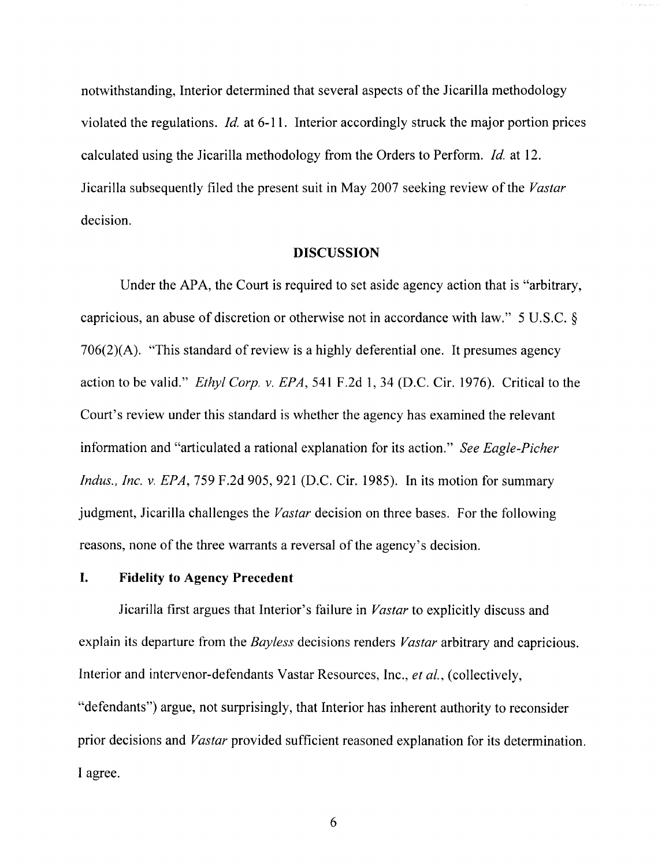notwithstanding, Interior determined that several aspects of the Jicarilla methodology violated the regulations. *Id.* at 6-11. Interior accordingly struck the major portion prices calculated using the Jicarilla methodology from the Orders to Perform. *Id.* at 12. Jicarilla subsequently filed the present suit in May 2007 seeking review of the *Vastar*  decision.

#### **DISCUSSION**

Under the APA, the Court is required to set aside agency action that is "arbitrary, capricious, an abuse of discretion or otherwise not in accordance with law." 5 U.S.C. § 706(2)(A). "This standard of review is a highly deferential one. It presumes agency action to be valid." *Ethyl Corp.* v. *EPA,* 541 F.2d **1,34** (D.C. Cir. 1976). Critical to the Court's review under this standard is whether the agency has examined the relevant information and "articulated a rational explanation for its action." *See Eagle-Picher Indus., Inc. v. EPA, 759 F.2d 905, 921 (D.C. Cir. 1985). In its motion for summary* judgment, Jicarilla challenges the *Vastar* decision on three bases. For the following reasons, none of the three warrants a reversal of the agency's decision.

## **I. Fidelity to Agency Precedent**

Jicarilla first argues that Interior's failure in *Vastar* to explicitly discuss and explain its departure from the *Bayless* decisions renders *Vastar* arbitrary and capricious. Interior and intervenor-defendants Vastar Resources, Inc., *et aI.,* (collectively, "defendants") argue, not surprisingly, that Interior has inherent authority to reconsider prior decisions and *Vastar* provided sufficient reasoned explanation for its determination. I agree.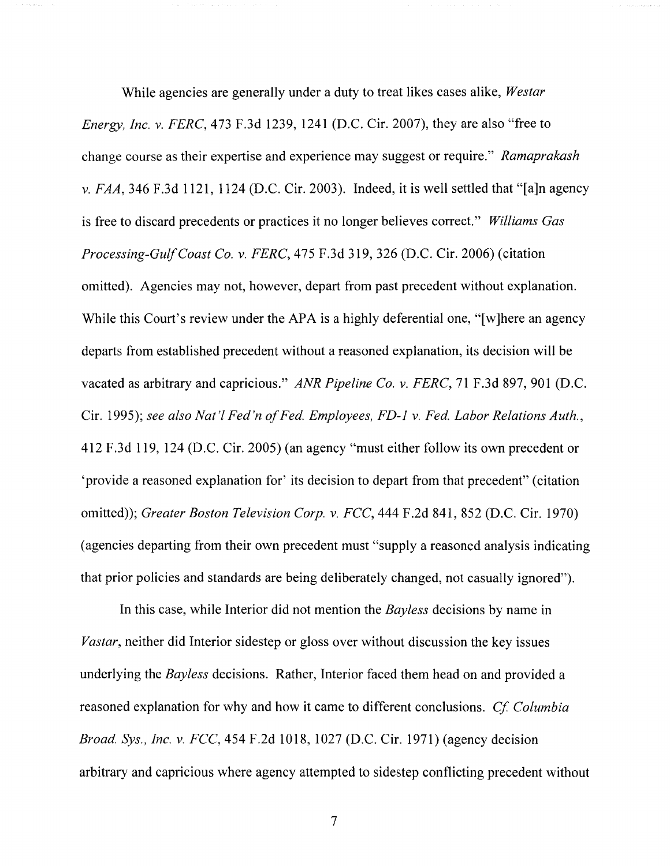While agencies are generally under a duty to treat likes cases alike, *Westar Energy, Inc.* v. *FERC,* 473 F.3d 1239, 1241 (D.C. Cir. 2007), they are also "free to change course as their expertise and experience may suggest or require." *Ramaprakash*  v. *FAA,* 346 F.3d 1121, 1124 (D.C. Cir. 2003). Indeed, it is well settled that "[a]n agency is free to discard precedents or practices it no longer believes correct." *Williams Gas Processing-Gulf Coast Co.* v. *FERC,* 475 F.3d 319, 326 (D.C. Cir. 2006) (citation omitted). Agencies may not, however, depart from past precedent without explanation. While this Court's review under the APA is a highly deferential one, "[w]here an agency departs from established precedent without a reasoned explanation, its decision will be vacated as arbitrary and capricious." *ANR Pipeline Co.* v. *FERC,* 71 F.3d 897, 901 (D.C. Cir. 1995); see also Nat'l Fed'n of Fed. Employees, FD-1 v. Fed. Labor Relations Auth., 412 F.3d 119,124 (D.C. Cir. 2005) (an agency "must either follow its own precedent or 'provide a reasoned explanation for' its decision to depart from that precedent" (citation omitted»; *Greater Boston Television Corp.* v. *FCC,* 444 F.2d 841,852 (D.C. Cir. 1970) (agencies departing from their own precedent must "supply a reasoned analysis indicating that prior policies and standards are being deliberately changed, not casually ignored").

In this case, while Interior did not mention the *Bayless* decisions by name in *Vastar,* neither did Interior sidestep or gloss over without discussion the key issues underlying the *Bayless* decisions. Rather, Interior faced them head on and provided a reasoned explanation for why and how it came to different conclusions. *Cf Columbia Broad. Sys., Inc.* v. *FCC,* 454 F.2d 1018, 1027 (D.C. Cir. 1971) (agency decision arbitrary and capricious where agency attempted to sidestep conflicting precedent without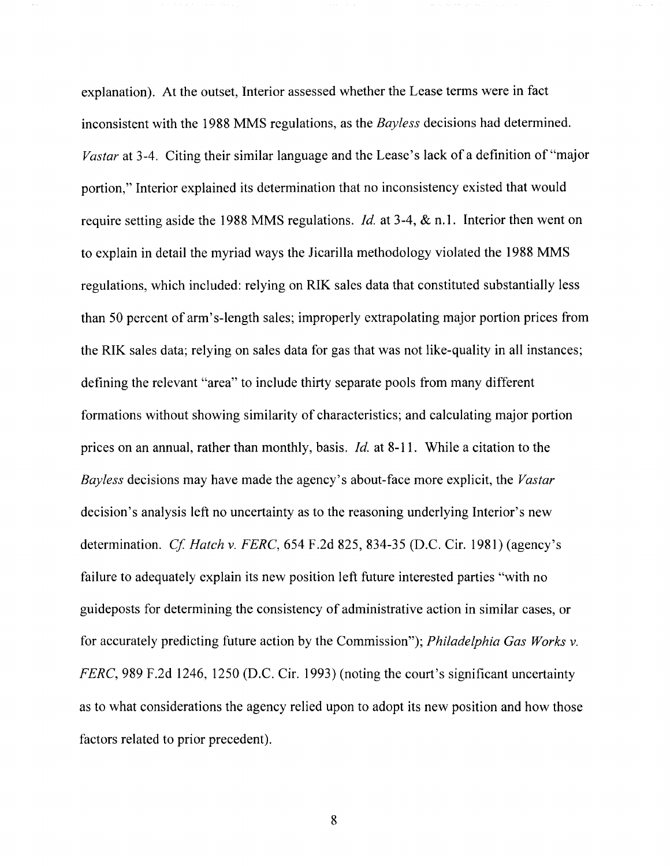explanation). At the outset, Interior assessed whether the Lease terms were in fact inconsistent with the 1988 MMS regulations, as the *Bayless* decisions had determined. *Vastar* at 3-4. Citing their similar language and the Lease's lack of a definition of "major portion," Interior explained its determination that no inconsistency existed that would require setting aside the 1988 MMS regulations. *Id.* at 3-4, & n.l. Interior then went on to explain in detail the myriad ways the Jicarilla methodology violated the 1988 MMS regulations, which included: relying on RIK sales data that constituted substantially less than 50 percent of arm's-length sales; improperly extrapolating major portion prices from the RIK sales data; relying on sales data for gas that was not like-quality in all instances; defining the relevant "area" to include thirty separate pools from many different formations without showing similarity of characteristics; and calculating major portion prices on an annual, rather than monthly, basis. *Id.* at 8-11. While a citation to the *Bayless* decisions may have made the agency's about-face more explicit, the *Vastar*  decision's analysis left no uncertainty as to the reasoning underlying Interior's new determination. *Cf Hatch* v. *FERC,* 654 F.2d 825,834-35 (D.C. Cir. 1981) (agency's failure to adequately explain its new position left future interested parties "with no guideposts for determining the consistency of administrative action in similar cases, or for accurately predicting future action by the Commission"); *Philadelphia Gas Works* v. *FERC*, 989 F.2d 1246, 1250 (D.C. Cir. 1993) (noting the court's significant uncertainty as to what considerations the agency relied upon to adopt its new position and how those factors related to prior precedent).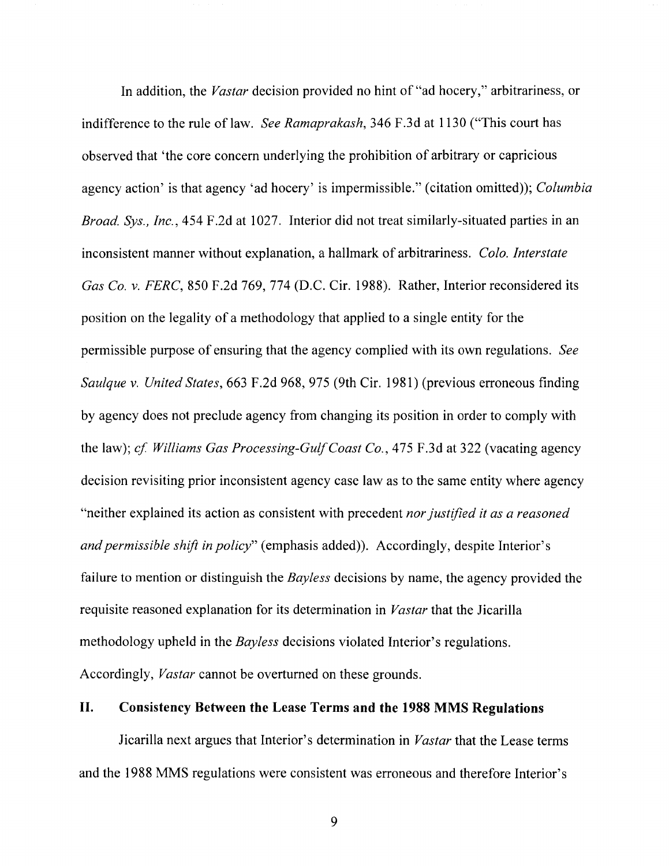In addition, the *Vastar* decision provided no hint of "ad hocery," arbitrariness, or indifference to the rule of law. *See Ramaprakash,* 346 F.3d at 1130 ("This court has observed that 'the core concern underlying the prohibition of arbitrary or capricious agency action' is that agency 'ad hocery' is impermissible." (citation omitted)); *Columbia Broad. Sys., Inc.,* 454 F .2d at 1027. Interior did not treat similarly-situated parties in an inconsistent manner without explanation, a hallmark of arbitrariness. *Colo. Interstate Gas Co. v. FERC*, 850 F.2d 769, 774 (D.C. Cir. 1988). Rather, Interior reconsidered its position on the legality of a methodology that applied to a single entity for the permissible purpose of ensuring that the agency complied with its own regulations. *See Saulque* v. *United States,* 663 F.2d 968,975 (9th Cir. 1981) (previous erroneous finding by agency does not preclude agency from changing its position in order to comply with the law); *cf Williams Gas Processing-Gulf Coast Co.,* 475 F.3d at 322 (vacating agency decision revisiting prior inconsistent agency case law as to the same entity where agency "neither explained its action as consistent with precedent *nor justified it as a reasoned and permissible shift in policy"* (emphasis added)). Accordingly, despite Interior's failure to mention or distinguish the *Bayless* decisions by name, the agency provided the requisite reasoned explanation for its determination in *Vastar* that the Jicarilla methodology upheld in the *Bayless* decisions violated Interior's regulations. Accordingly, *Vastar* cannot be overturned on these grounds.

# II. Consistency Between the Lease Terms and the 1988 MMS Regulations

Jicarilla next argues that Interior's determination in *Vastar* that the Lease terms and the 1988 MMS regulations were consistent was erroneous and therefore Interior's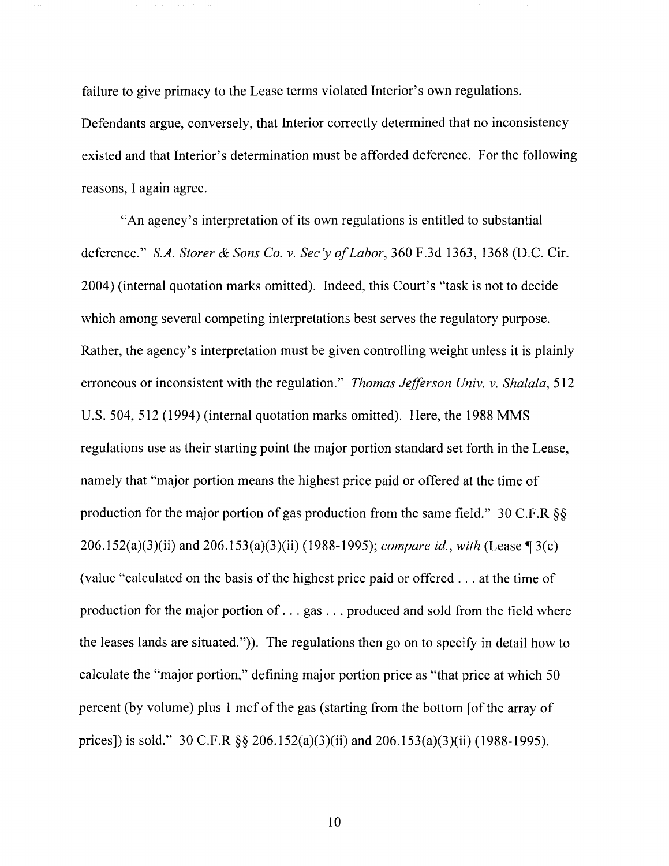failure to give primacy to the Lease terms violated Interior's own regulations. Defendants argue, conversely, that Interior correctly determined that no inconsistency existed and that Interior's determination must be afforded deference. For the following reasons, I again agree.

"An agency's interpretation of its own regulations is entitled to substantial deference." *S.A. Storer* & *Sons Co.* v. *Sec'y a/Labor,* 360 F.3d 1363,1368 (D.C. Cir. 2004) (internal quotation marks omitted). Indeed, this Court's "task is not to decide which among several competing interpretations best serves the regulatory purpose. Rather, the agency's interpretation must be given controlling weight unless it is plainly erroneous or inconsistent with the regulation." *Thomas Jefferson Univ.* v. *Shalala, 512*  U.S. 504, 512 (1994) (internal quotation marks omitted). Here, the 1988 MMS regulations use as their starting point the major portion standard set forth in the Lease, namely that "major portion means the highest price paid or offered at the time of production for the major portion of gas production from the same field." 30 C.F.R §§ 206.152(a)(3)(ii) and 206.153(a)(3)(ii) (1988-1995); *compare id., with* (Lease ¶ 3(c) (value "calculated on the basis of the highest price paid or offered ... at the time of production for the major portion of ... gas ... produced and sold from the field where the leases lands are situated.")). The regulations then go on to specify in detail how to calculate the "major portion," defining major portion price as "that price at which 50 percent (by volume) plus 1 mcfofthe gas (starting from the bottom [of the array of prices]) is sold." 30 C.F.R §§ 206.152(a)(3)(ii) and 206.153(a)(3)(ii) (1988-1995).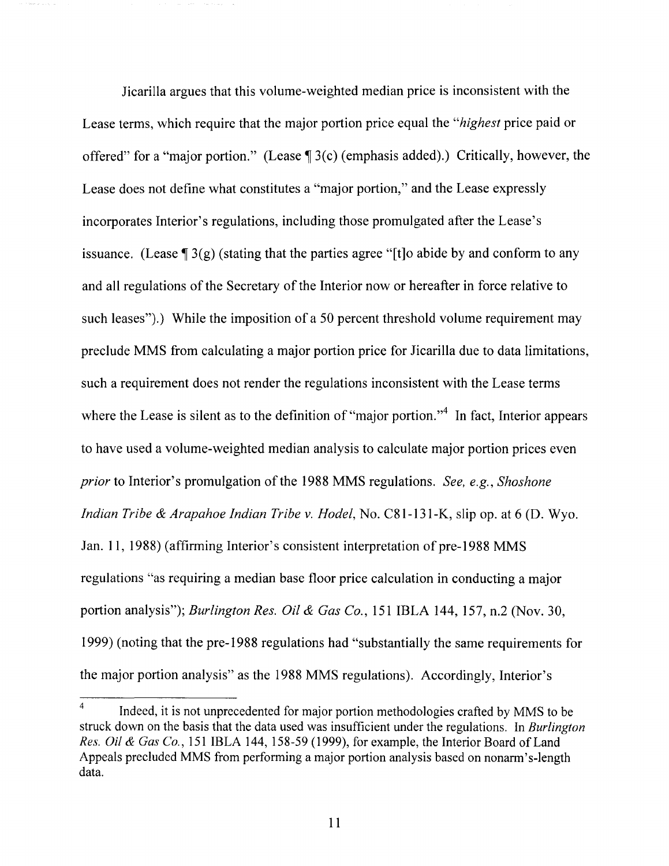Jicarilla argues that this volume-weighted median price is inconsistent with the Lease terms, which require that the major portion price equal the *"highest* price paid or offered" for a "major portion." (Lease  $\P 3(c)$  (emphasis added).) Critically, however, the Lease does not define what constitutes a "major portion," and the Lease expressly incorporates Interior's regulations, including those promulgated after the Lease's issuance. (Lease  $\sqrt{3}$  3(g) (stating that the parties agree "[t]o abide by and conform to any and all regulations of the Secretary of the Interior now or hereafter in force relative to such leases").) While the imposition of a 50 percent threshold volume requirement may preclude MMS from calculating a major portion price for Jicarilla due to data limitations, such a requirement does not render the regulations inconsistent with the Lease terms where the Lease is silent as to the definition of "major portion."<sup>4</sup> In fact, Interior appears to have used a volume-weighted median analysis to calculate major portion prices even *prior* to Interior's promulgation of the 1988 MMS regulations. *See, e.g., Shoshone Indian Tribe* & *Arapahoe Indian Tribe* v. *Hodel,* No. C81-131-K, slip op. at 6 (D. Wyo. Jan. 11, 1988) (affirming Interior's consistent interpretation of pre-1988 MMS regulations "as requiring a median base floor price calculation in conducting a major portion analysis"); *Burlington Res. Oil* & *Gas Co.,* 151 IBLA 144, 157, n.2 (Nov. 30, 1999) (noting that the pre-1988 regulations had "substantially the same requirements for the major portion analysis" as the 1988 MMS regulations). Accordingly, Interior's

 $4 \text{ Indeed, it is not unprecedented for major portion methodologies carried by MMS to be}$ struck down on the basis that the data used was insufficient under the regulations. In *Burlington Res. Oil* & *Gas Co.,* 151 IBLA 144, 158-59 (1999), for example, the Interior Board of Land Appeals precluded MMS from performing a major portion analysis based on nonarm's-length data.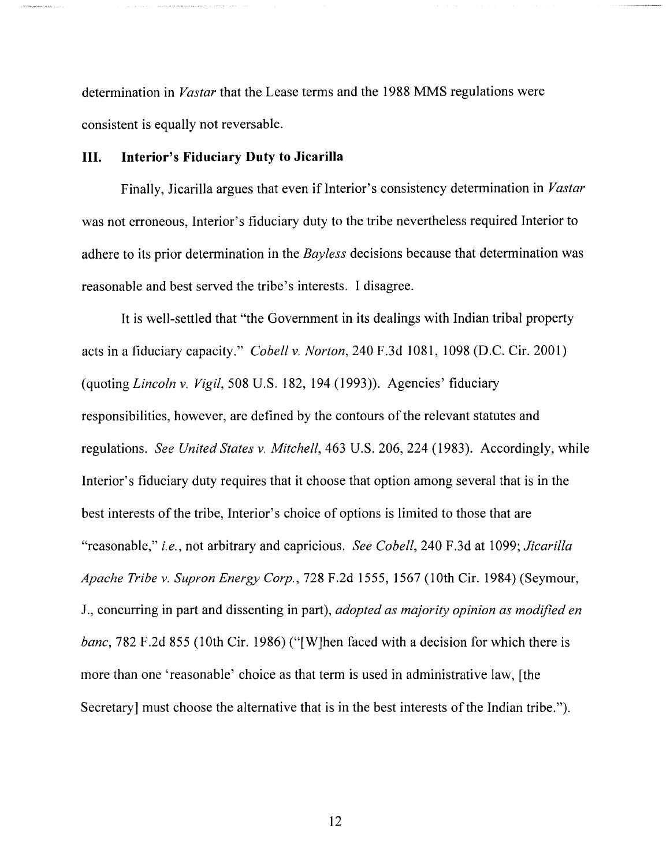determination in *Vastar* that the Lease terms and the 1988 MMS regulations were consistent is equally not reversable.

# **III. Interior's Fiduciary Duty to Jicarilla**

Finally, Jicarilla argues that even if Interior's consistency determination in *Vastar* was not erroneous, Interior's fiduciary duty to the tribe nevertheless required Interior to adhere to its prior determination in the *Bayless* decisions because that determination was reasonable and best served the tribe's interests. I disagree.

It is well-settled that "the Government in its dealings with Indian tribal property acts in a fiduciary capacity." *Cobell* v. *Norton,* 240 F.3d 1081, 1098 (D.C. Cir. 2001) (quoting *Lincoln* v. *Vigil,* 508 U.S. 182, 194 (1993)). Agencies' fiduciary responsibilities, however, are defined by the contours of the relevant statutes and regulations. *See United States* v. *Mitchell,* 463 U.S. 206, 224 (1983). Accordingly, while Interior's fiduciary duty requires that it choose that option among several that is in the best interests of the tribe, Interior's choice of options is limited to those that are "reasonable," *i.e.,* not arbitrary and capricious. *See Cobell,* 240 F.3d at 1099; *Jicarilla Apache Tribe* v. *Supron Energy Corp.,* 728 F.2d 1555, 1567 (lOth Cir. 1984) (Seymour, J., concurring in part and dissenting in part), *adopted as majority opinion as modified en banc*, 782 F.2d 855 (10th Cir. 1986) ("[W]hen faced with a decision for which there is more than one 'reasonable' choice as that term is used in administrative law, [the Secretary] must choose the alternative that is in the best interests of the Indian tribe.").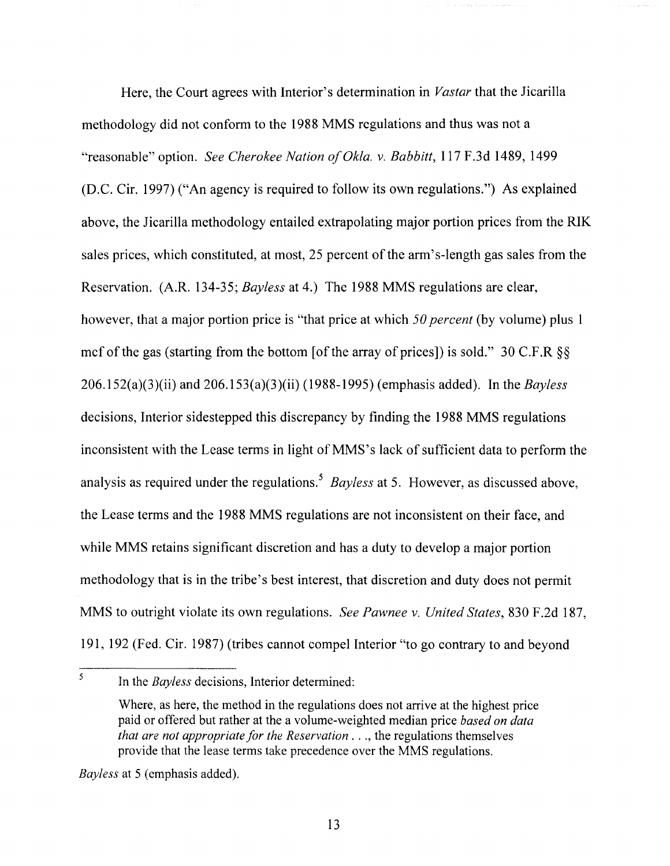Here, the Court agrees with Interior's determination in *Vastar* that the Jicarilla methodology did not conform to the 1988 MMS regulations and thus was not a "reasonable" option. *See Cherokee Nation a/Okla.* v. *Babbitt,* 117 F.3d 1489, 1499 (D.C. Cir. 1997) ("An agency is required to follow its own regulations.") As explained above, the Jicarilla methodology entailed extrapolating major portion prices from the RIK sales prices, which constituted, at most, 25 percent of the arm's-length gas sales from the Reservation. (A.R. 134-35; *Bayless* at 4.) The 1988 MMS regulations are clear, however, that a major portion price is "that price at which *50 percent* (by volume) plus 1 mcf of the gas (starting from the bottom [of the array of prices]) is sold." 30 C.F.R §§ 206.1 52(a)(3)(ii) and 206. 153(a)(3)(ii) (1988-1995) (emphasis added). In the *Bayless*  decisions, Interior sidestepped this discrepancy by finding the 1988 MMS regulations inconsistent with the Lease terms in light of MMS's lack of sufficient data to perform the analysis as required under the regulations. <sup>5</sup>*Bayless* at 5. However, as discussed above, the Lease terms and the 1988 MMS regulations are not inconsistent on their face, and while MMS retains significant discretion and has a duty to develop a major portion methodology that is in the tribe's best interest, that discretion and duty does not permit MMS to outright violate its own regulations. *See Pawnee* v. *United States,* 830 F.2d 187, 191, 192 (Fed. Cir. 1987) (tribes cannot compel Interior "to go contrary to and beyond

*Bayless* at 5 (emphasis added).

<sup>5</sup> In the *Bayless* decisions, Interior determined:

Where, as here, the method in the regulations does not arrive at the highest price paid or offered but rather at the a volume-weighted median price *based on data that are not appropriate for the Reservation ..., the regulations themselves* provide that the lease terms take precedence over the MMS regulations.